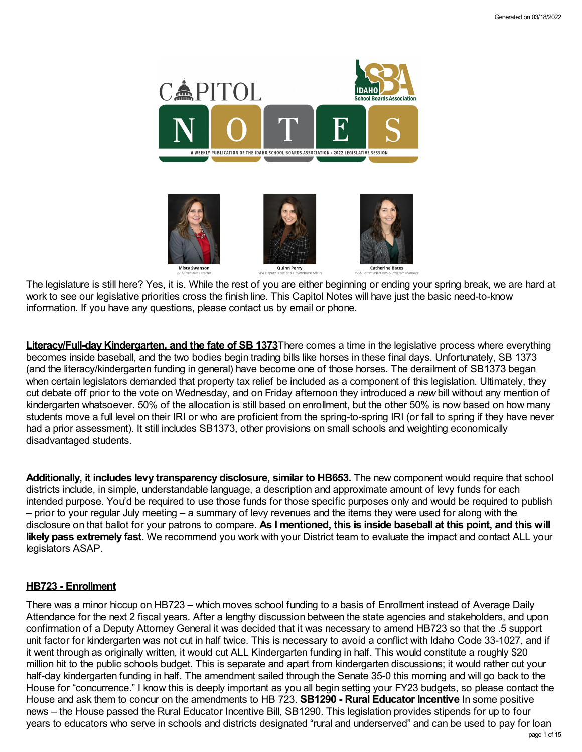

The legislature is still here? Yes, it is. While the rest of you are either beginning or ending your spring break, we are hard at work to see our legislative priorities cross the finish line. This Capitol Notes will have just the basic need-to-know information. If you have any questions, please contact us by email or phone.

**Literacy/Full-dayKindergarten, and the fate of SB 1373**There comes a time in the legislative process where everything becomes inside baseball, and the two bodies begin trading bills like horses in these final days. Unfortunately, SB 1373 (and the literacy/kindergarten funding in general) have become one of those horses. The derailment of SB1373 began when certain legislators demanded that property tax relief be included as a component of this legislation. Ultimately, they cut debate off prior to the vote on Wednesday, and on Friday afternoon they introduced a *new* bill without any mention of kindergarten whatsoever. 50% of the allocation is still based on enrollment, but the other 50% is now based on how many students move a full level on their IRI or who are proficient from the spring-to-spring IRI (or fall to spring if they have never had a prior assessment). It still includes SB1373, other provisions on small schools and weighting economically disadvantaged students.

**Additionally, it includes levy transparency disclosure, similar to HB653.** The new component would require that school districts include, in simple, understandable language, a description and approximate amount of levy funds for each intended purpose. You'd be required to use those funds for those specific purposes only and would be required to publish – prior to your regular July meeting – a summary of levy revenues and the items they were used for along with the disclosure on that ballot for your patrons to compare. **As I mentioned, this is inside baseball at this point, and this will likely pass extremely fast.** We recommend you work with your District team to evaluate the impact and contact ALL your legislators ASAP.

# **HB723 - Enrollment**

There was a minor hiccup on HB723 – which moves school funding to a basis of Enrollment instead of Average Daily Attendance for the next 2 fiscal years. After a lengthy discussion between the state agencies and stakeholders, and upon confirmation of a Deputy Attorney General it was decided that it was necessary to amend HB723 so that the .5 support unit factor for kindergarten was not cut in half twice. This is necessary to avoid a conflict with Idaho Code 33-1027, and if it went through as originally written, it would cut ALL Kindergarten funding in half. This would constitute a roughly \$20 million hit to the public schools budget. This is separate and apart from kindergarten discussions; it would rather cut your half-day kindergarten funding in half. The amendment sailed through the Senate 35-0 this morning and will go back to the House for "concurrence." I know this is deeply important as you all begin setting your FY23 budgets, so please contact the House and ask them to concur on the amendments to HB 723. **SB1290 - Rural Educator Incentive** In some positive news – the House passed the Rural Educator Incentive Bill, SB1290. This legislation provides stipends for up to four years to educators who serve in schools and districts designated "rural and underserved" and can be used to pay for loan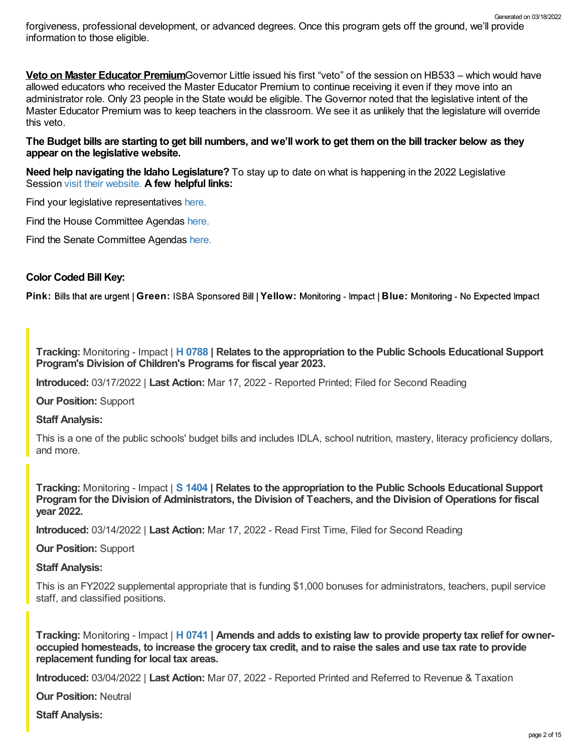forgiveness, professional development, or advanced degrees. Once this program gets off the ground, we'll provide information to those eligible. Generated on 03/18/2022

**Veto on Master Educator Premium**Governor Little issued his first "veto" of the session on HB533 – which would have allowed educators who received the Master Educator Premium to continue receiving it even if they move into an administrator role. Only 23 people in the State would be eligible. The Governor noted that the legislative intent of the Master Educator Premium was to keep teachers in the classroom. We see it as unlikely that the legislature will override this veto.

The Budget bills are starting to get bill numbers, and we'll work to get them on the bill tracker below as they **appear on the legislative website.**

**Need help navigating the Idaho Legislature?** To stay up to date on what is happening in the 2022 Legislative Session visit their [website.](https://legislature.idaho.gov/legislators/whosmylegislator/) **A few helpful links:**

Find your legislative representatives [here.](https://legislature.idaho.gov/legislators/whosmylegislator/)

Find the House Committee Agendas [here.](https://legislature.idaho.gov/sessioninfo/agenda/hagenda/)

Find the Senate Committee Agendas [here.](https://legislature.idaho.gov/sessioninfo/agenda/sagenda/)

# **Color Coded Bill Key:**

Pink: Bills that are urgent | Green: ISBA Sponsored Bill | Yellow: Monitoring - Impact | Blue: Monitoring - No Expected Impact

**Tracking:** Monitoring - Impact | **H [0788](https://legislature.idaho.gov/sessioninfo/2022/legislation/H0788/) | Relates to the appropriation to the Public Schools Educational Support Program's Division of Children's Programs for fiscal year 2023.**

**Introduced:** 03/17/2022 | **Last Action:** Mar 17, 2022 - Reported Printed; Filed for Second Reading

**Our Position:** Support

**Staff Analysis:**

This is a one of the public schools' budget bills and includes IDLA, school nutrition, mastery, literacy proficiency dollars, and more.

**Tracking:** Monitoring - Impact | **S [1404](https://legislature.idaho.gov/sessioninfo/2022/legislation/S1404/) | Relates to the appropriation to the Public Schools Educational Support** Program for the Division of Administrators, the Division of Teachers, and the Division of Operations for fiscal **year 2022.**

**Introduced:** 03/14/2022 | **Last Action:** Mar 17, 2022 - Read First Time, Filed for Second Reading

**Our Position:** Support

**Staff Analysis:**

This is an FY2022 supplemental appropriate that is funding \$1,000 bonuses for administrators, teachers, pupil service staff, and classified positions.

Tracking: Monitoring - Impact | H [0741](https://legislature.idaho.gov/sessioninfo/2022/legislation/H0741/) | Amends and adds to existing law to provide property tax relief for owneroccupied homesteads, to increase the grocery tax credit, and to raise the sales and use tax rate to provide **replacement funding for local tax areas.**

**Introduced:** 03/04/2022 | **Last Action:** Mar 07, 2022 - Reported Printed and Referred to Revenue & Taxation

**Our Position:** Neutral

**Staff Analysis:**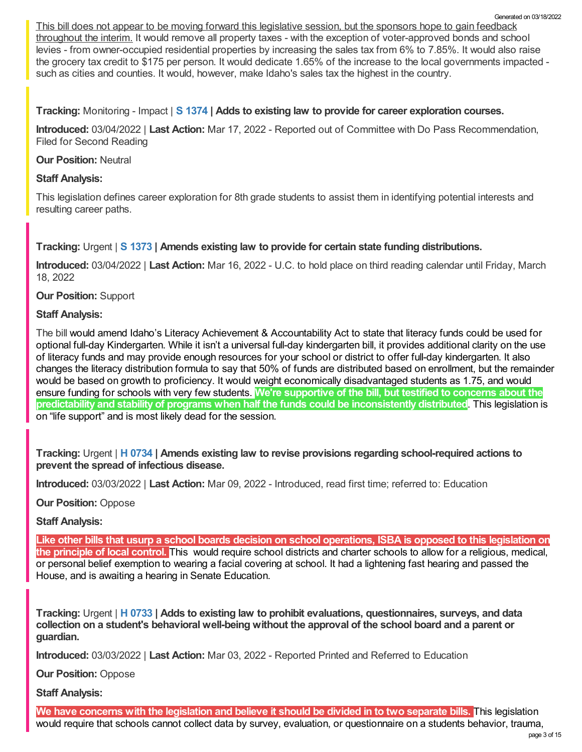This bill does not appear to be moving forward this legislative session, but the sponsors hope to gain feedback throughout the interim. It would remove all property taxes - with the exception of voter-approved bonds and school levies - from owner-occupied residential properties by increasing the sales tax from 6% to 7.85%. It would also raise the grocery tax credit to \$175 per person. It would dedicate 1.65% of the increase to the local governments impacted such as cities and counties. It would, however, make Idaho's sales tax the highest in the country.

**Tracking:** Monitoring - Impact | **S [1374](https://legislature.idaho.gov/sessioninfo/2022/legislation/S1374/) | Adds to existing law to provide for career exploration courses.**

**Introduced:** 03/04/2022 | **Last Action:** Mar 17, 2022 - Reported out of Committee with Do Pass Recommendation, Filed for Second Reading

### **Our Position:** Neutral

# **Staff Analysis:**

This legislation defines career exploration for 8th grade students to assist them in identifying potential interests and resulting career paths.

# **Tracking:** Urgent | **S [1373](https://legislature.idaho.gov/sessioninfo/2022/legislation/S1373/) | Amends existing law to provide for certain state funding distributions.**

**Introduced:** 03/04/2022 | **Last Action:** Mar 16, 2022 - U.C. to hold place on third reading calendar until Friday, March 18, 2022

# **Our Position:** Support

#### **Staff Analysis:**

The bill would amend Idaho's Literacy Achievement & Accountability Act to state that literacy funds could be used for optional full-day Kindergarten. While it isn't a universal full-day kindergarten bill, it provides additional clarity on the use of literacy funds and may provide enough resources for your school or district to offer full-day kindergarten. It also changes the literacy distribution formula to say that 50% of funds are distributed based on enrollment, but the remainder would be based on growth to proficiency. It would weight economically disadvantaged students as 1.75, and would ensure funding for schools with very few students. **We're supportive of the bill, but testified to concerns about the predictability and stability of programs when half the funds could be inconsistently distributed**. This legislation is on "life support" and is most likely dead for the session.

**Tracking:** Urgent | **H [0734](https://legislature.idaho.gov/sessioninfo/2022/legislation/H0734/) | Amends existing law to revise provisions regarding school-required actions to prevent the spread of infectious disease.**

**Introduced:** 03/03/2022 | **Last Action:** Mar 09, 2022 - Introduced, read first time; referred to: Education

#### **Our Position:** Oppose

# **Staff Analysis:**

Like other bills that usurp a school boards decision on school operations, ISBA is opposed to this legislation on **the principle of local control.** This would require school districts and charter schools to allow for a religious, medical, or personal belief exemption to wearing a facial covering at school. It had a lightening fast hearing and passed the House, and is awaiting a hearing in Senate Education.

**Tracking:** Urgent | **H [0733](https://legislature.idaho.gov/sessioninfo/2022/legislation/H0733/) | Adds to existing law to prohibit evaluations, questionnaires, surveys, and data collection on a student's behavioral well-being without the approval of the school board and a parent or guardian.**

**Introduced:** 03/03/2022 | **Last Action:** Mar 03, 2022 - Reported Printed and Referred to Education

**Our Position:** Oppose

**Staff Analysis:**

We have concerns with the legislation and believe it should be divided in to two separate bills. This legislation would require that schools cannot collect data by survey, evaluation, or questionnaire on a students behavior, trauma,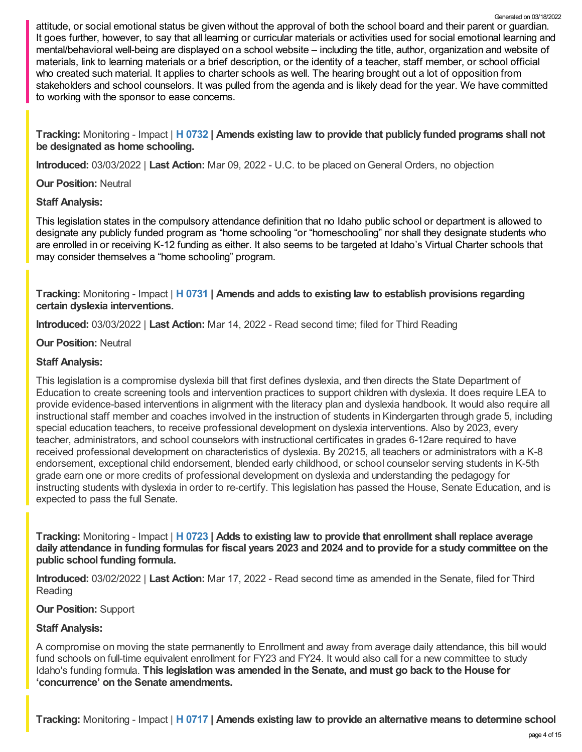**Tracking:** Monitoring - Impact | **H [0732](https://legislature.idaho.gov/sessioninfo/2022/legislation/H0732/) | Amends existing law to provide that publicly funded programs shall not be designated as home schooling.**

**Introduced:** 03/03/2022 | **Last Action:** Mar 09, 2022 - U.C. to be placed on General Orders, no objection

**Our Position:** Neutral

# **Staff Analysis:**

This legislation states in the compulsory attendance definition that no Idaho public school or department is allowed to designate any publicly funded program as "home schooling "or "homeschooling" nor shall they designate students who are enrolled in or receiving K-12 funding as either. It also seems to be targeted at Idaho's Virtual Charter schools that may consider themselves a "home schooling" program.

**Tracking:** Monitoring - Impact | **H [0731](https://legislature.idaho.gov/sessioninfo/2022/legislation/H0731/) | Amends and adds to existing law to establish provisions regarding certain dyslexia interventions.**

**Introduced:** 03/03/2022 | **Last Action:** Mar 14, 2022 - Read second time; filed for Third Reading

# **Our Position:** Neutral

# **Staff Analysis:**

This legislation is a compromise dyslexia bill that first defines dyslexia, and then directs the State Department of Education to create screening tools and intervention practices to support children with dyslexia. It does require LEA to provide evidence-based interventions in alignment with the literacy plan and dyslexia handbook. It would also require all instructional staff member and coaches involved in the instruction of students in Kindergarten through grade 5, including special education teachers, to receive professional development on dyslexia interventions. Also by 2023, every teacher, administrators, and school counselors with instructional certificates in grades 6-12are required to have received professional development on characteristics of dyslexia. By 20215, all teachers or administrators with a K-8 endorsement, exceptional child endorsement, blended early childhood, or school counselor serving students in K-5th grade earn one or more credits of professional development on dyslexia and understanding the pedagogy for instructing students with dyslexia in order to re-certify. This legislation has passed the House, Senate Education, and is expected to pass the full Senate.

**Tracking:** Monitoring - Impact | **H [0723](https://legislature.idaho.gov/sessioninfo/2022/legislation/H0723/) | Adds to existing law to provide that enrollment shall replace average** daily attendance in funding formulas for fiscal years 2023 and 2024 and to provide for a study committee on the **public school funding formula.**

**Introduced:** 03/02/2022 | **Last Action:** Mar 17, 2022 - Read second time as amended in the Senate, filed for Third Reading

#### **Our Position:** Support

# **Staff Analysis:**

A compromise on moving the state permanently to Enrollment and away from average daily attendance, this bill would fund schools on full-time equivalent enrollment for FY23 and FY24. It would also call for a new committee to study Idaho's funding formula. **This legislation was amended in the Senate, and must go back to the House for 'concurrence' on the Senate amendments.**

**Tracking:** Monitoring - Impact | **H [0717](https://legislature.idaho.gov/sessioninfo/2022/legislation/H0717/) | Amends existing law to provide an alternative means to determine school**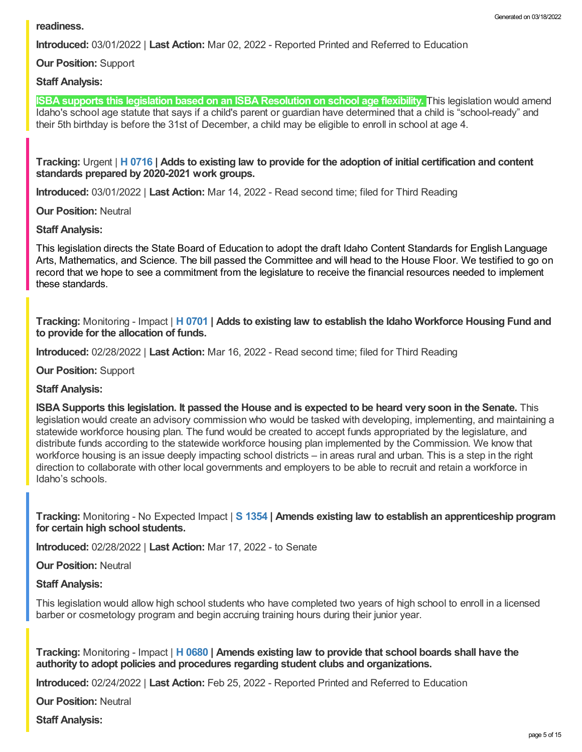**Introduced:** 03/01/2022 | **Last Action:** Mar 02, 2022 - Reported Printed and Referred to Education

**Our Position:** Support

# **Staff Analysis:**

**ISBA supports this legislation based on an ISBA Resolution on school age flexibility.** This legislation would amend Idaho's school age statute that says if a child's parent or guardian have determined that a child is "school-ready" and their 5th birthday is before the 31st of December, a child may be eligible to enroll in school at age 4.

Tracking: Urgent | H [0716](https://legislature.idaho.gov/sessioninfo/2022/legislation/H0716/) | Adds to existing law to provide for the adoption of initial certification and content **standards prepared by 2020-2021 work groups.**

**Introduced:** 03/01/2022 | **Last Action:** Mar 14, 2022 - Read second time; filed for Third Reading

**Our Position:** Neutral

#### **Staff Analysis:**

This legislation directs the State Board of Education to adopt the draft Idaho Content Standards for English Language Arts, Mathematics, and Science. The bill passed the Committee and will head to the House Floor. We testified to go on record that we hope to see a commitment from the legislature to receive the financial resources needed to implement these standards.

**Tracking:** Monitoring - Impact | **H [0701](https://legislature.idaho.gov/sessioninfo/2022/legislation/H0701/) | Adds to existing law to establish the Idaho Workforce Housing Fund and to provide for the allocation of funds.**

**Introduced:** 02/28/2022 | **Last Action:** Mar 16, 2022 - Read second time; filed for Third Reading

**Our Position:** Support

#### **Staff Analysis:**

**ISBA Supports this legislation. It passed the House and is expected to be heard very soon in the Senate.** This legislation would create an advisory commission who would be tasked with developing, implementing, and maintaining a statewide workforce housing plan. The fund would be created to accept funds appropriated by the legislature, and distribute funds according to the statewide workforce housing plan implemented by the Commission. We know that workforce housing is an issue deeply impacting school districts – in areas rural and urban. This is a step in the right direction to collaborate with other local governments and employers to be able to recruit and retain a workforce in Idaho's schools.

**Tracking:** Monitoring - No Expected Impact | **S [1354](https://legislature.idaho.gov/sessioninfo/2022/legislation/S1354/) | Amends existing law to establish an apprenticeship program for certain high school students.**

**Introduced:** 02/28/2022 | **Last Action:** Mar 17, 2022 - to Senate

**Our Position:** Neutral

#### **Staff Analysis:**

This legislation would allow high school students who have completed two years of high school to enroll in a licensed barber or cosmetology program and begin accruing training hours during their junior year.

**Tracking:** Monitoring - Impact | **H [0680](https://legislature.idaho.gov/sessioninfo/2022/legislation/H0680/) | Amends existing law to provide that school boards shall have the authority to adopt policies and procedures regarding student clubs and organizations.**

**Introduced:** 02/24/2022 | **Last Action:** Feb 25, 2022 - Reported Printed and Referred to Education

**Our Position:** Neutral

**Staff Analysis:**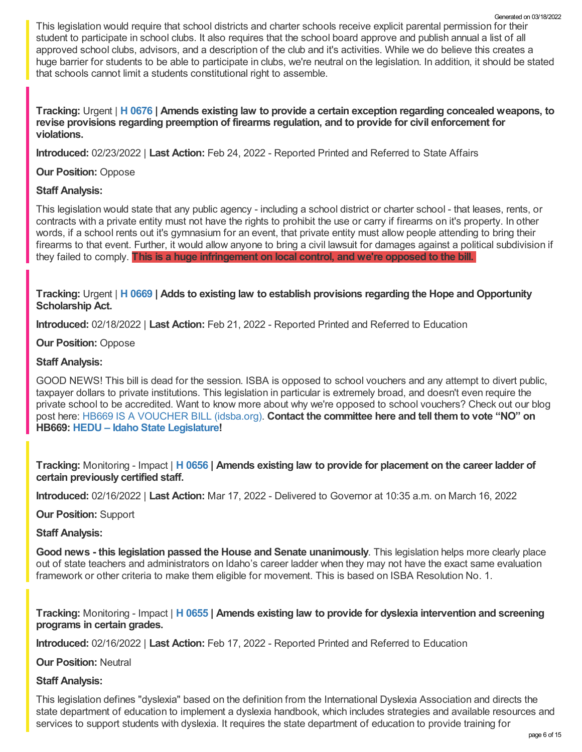This legislation would require that school districts and charter schools receive explicit parental permission for their student to participate in school clubs. It also requires that the school board approve and publish annual a list of all approved school clubs, advisors, and a description of the club and it's activities. While we do believe this creates a huge barrier for students to be able to participate in clubs, we're neutral on the legislation. In addition, it should be stated that schools cannot limit a students constitutional right to assemble. Generated on 03/18/2022

**Tracking:** Urgent | **H [0676](https://legislature.idaho.gov/sessioninfo/2022/legislation/H0676/) | Amends existing law to provide a certain exception regarding concealed weapons, to revise provisions regarding preemption of firearms regulation, and to provide for civil enforcement for violations.**

**Introduced:** 02/23/2022 | **Last Action:** Feb 24, 2022 - Reported Printed and Referred to State Affairs

# **Our Position:** Oppose

# **Staff Analysis:**

This legislation would state that any public agency - including a school district or charter school - that leases, rents, or contracts with a private entity must not have the rights to prohibit the use or carry if firearms on it's property. In other words, if a school rents out it's gymnasium for an event, that private entity must allow people attending to bring their firearms to that event. Further, it would allow anyone to bring a civil lawsuit for damages against a political subdivision if they failed to comply. **This is a huge infringement on local control, and we're opposed to the bill.**

# **Tracking:** Urgent | **H [0669](https://legislature.idaho.gov/sessioninfo/2022/legislation/H0669/) | Adds to existing law to establish provisions regarding the Hope and Opportunity Scholarship Act.**

**Introduced:** 02/18/2022 | **Last Action:** Feb 21, 2022 - Reported Printed and Referred to Education

# **Our Position:** Oppose

# **Staff Analysis:**

GOOD NEWS! This bill is dead for the session. ISBA is opposed to school vouchers and any attempt to divert public, taxpayer dollars to private institutions. This legislation in particular is extremely broad, and doesn't even require the private school to be accredited. Want to know more about why we're opposed to school vouchers? Check out our blog post here: HB669 IS A [VOUCHER](https://www.idsba.org/blog/hb669-is-a-voucher-bill/) BILL (idsba.org). **Contact the committee here and tell them to vote "NO" on HB669: HEDU – Idaho State [Legislature](https://legislature.idaho.gov/sessioninfo/2022/standingcommittees/hedu/#hcode-tab-style2testimony-registration-remote-in-person)!**

**Tracking:** Monitoring - Impact | **H [0656](https://legislature.idaho.gov/sessioninfo/2022/legislation/H0656/) | Amends existing law to provide for placement on the career ladder of certain previously certified staff.**

**Introduced:** 02/16/2022 | **Last Action:** Mar 17, 2022 - Delivered to Governor at 10:35 a.m. on March 16, 2022

# **Our Position:** Support

# **Staff Analysis:**

**Good news - this legislation passed the House and Senate unanimously**. This legislation helps more clearly place out of state teachers and administrators on Idaho's career ladder when they may not have the exact same evaluation framework or other criteria to make them eligible for movement. This is based on ISBA Resolution No. 1.

**Tracking:** Monitoring - Impact | **H [0655](https://legislature.idaho.gov/sessioninfo/2022/legislation/H0655/) | Amends existing law to provide for dyslexia intervention and screening programs in certain grades.**

**Introduced:** 02/16/2022 | **Last Action:** Feb 17, 2022 - Reported Printed and Referred to Education

**Our Position:** Neutral

# **Staff Analysis:**

This legislation defines "dyslexia" based on the definition from the International Dyslexia Association and directs the state department of education to implement a dyslexia handbook, which includes strategies and available resources and services to support students with dyslexia. It requires the state department of education to provide training for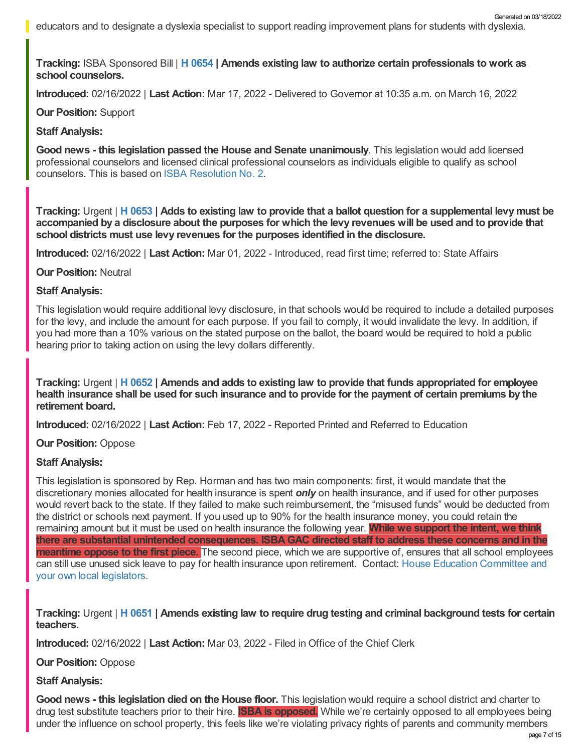educators and to designate a dyslexia specialist to support reading improvement plans for students with dyslexia. Generated on 03/18/2022

**Tracking:** ISBA Sponsored Bill | **H [0654](https://legislature.idaho.gov/sessioninfo/2022/legislation/H0654/) | Amends existing law to authorize certain professionals to work as school counselors.**

**Introduced:** 02/16/2022 | **Last Action:** Mar 17, 2022 - Delivered to Governor at 10:35 a.m. on March 16, 2022

**Our Position:** Support

# **Staff Analysis:**

**Good news - this legislation passed the House and Senate unanimously**. This legislation would add licensed professional counselors and licensed clinical professional counselors as individuals eligible to qualify as school counselors. This is based on ISBA [Resolution](https://www.idsba.org/wp-content/uploads/2021/12/02-Hiring-Flexibility-on-Licensed-Counselors.pdf) No. 2.

Tracking: Urgent | H [0653](https://legislature.idaho.gov/sessioninfo/2022/legislation/H0653/) | Adds to existing law to provide that a ballot question for a supplemental levy must be accompanied by a disclosure about the purposes for which the levy revenues will be used and to provide that **school districts must use levy revenues for the purposes identified in the disclosure.**

**Introduced:** 02/16/2022 | **Last Action:** Mar 01, 2022 - Introduced, read first time; referred to: State Affairs

**Our Position:** Neutral

#### **Staff Analysis:**

This legislation would require additional levy disclosure, in that schools would be required to include a detailed purposes for the levy, and include the amount for each purpose. If you fail to comply, it would invalidate the levy. In addition, if you had more than a 10% various on the stated purpose on the ballot, the board would be required to hold a public hearing prior to taking action on using the levy dollars differently.

Tracking: Urgent | H [0652](https://legislature.idaho.gov/sessioninfo/2022/legislation/H0652/) | Amends and adds to existing law to provide that funds appropriated for employee health insurance shall be used for such insurance and to provide for the payment of certain premiums by the **retirement board.**

**Introduced:** 02/16/2022 | **Last Action:** Feb 17, 2022 - Reported Printed and Referred to Education

#### **Our Position:** Oppose

#### **Staff Analysis:**

This legislation is sponsored by Rep. Horman and has two main components: first, it would mandate that the discretionary monies allocated for health insurance is spent *only* on health insurance, and if used for other purposes would revert back to the state. If they failed to make such reimbursement, the "misused funds" would be deducted from the district or schools next payment. If you used up to 90% for the health insurance money, you could retain the remaining amount but it must be used on health insurance the following year. **While we support the intent, we think there are substantial unintended consequences. ISBAGAC directed staff to address these concerns and in the meantime oppose to the first piece.** The second piece, which we are supportive of, ensures that all school employees can still use unused sick leave to pay for health insurance upon retirement. Contact: House Education [Committee](https://legislature.idaho.gov/sessioninfo/2022/standingcommittees/HEDU/) and your own local legislators.

Tracking: Urgent | H [0651](https://legislature.idaho.gov/sessioninfo/2022/legislation/H0651/) | Amends existing law to require drug testing and criminal background tests for certain **teachers.**

**Introduced:** 02/16/2022 | **Last Action:** Mar 03, 2022 - Filed in Office of the Chief Clerk

**Our Position:** Oppose

#### **Staff Analysis:**

**Good news - this legislation died on the House floor.** This legislation would require a school district and charter to drug test substitute teachers prior to their hire. **ISBA is opposed.** While we're certainly opposed to all employees being under the influence on school property, this feels like we're violating privacy rights of parents and community members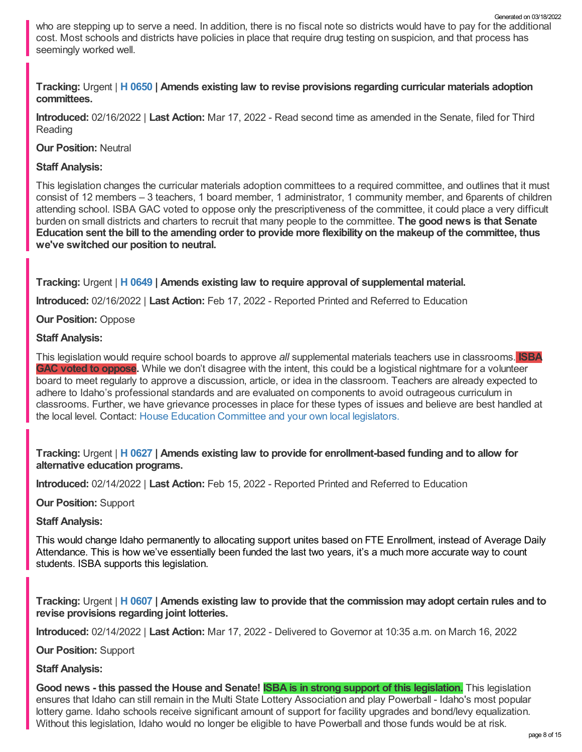who are stepping up to serve a need. In addition, there is no fiscal note so districts would have to pay for the additional cost. Most schools and districts have policies in place that require drug testing on suspicion, and that process has seemingly worked well.

# **Tracking:** Urgent | **H [0650](https://legislature.idaho.gov/sessioninfo/2022/legislation/H0650/) | Amends existing law to revise provisions regarding curricular materials adoption committees.**

**Introduced:** 02/16/2022 | **Last Action:** Mar 17, 2022 - Read second time as amended in the Senate, filed for Third Reading

**Our Position:** Neutral

# **Staff Analysis:**

This legislation changes the curricular materials adoption committees to a required committee, and outlines that it must consist of 12 members – 3 teachers, 1 board member, 1 administrator, 1 community member, and 6parents of children attending school. ISBA GAC voted to oppose only the prescriptiveness of the committee, it could place a very difficult burden on small districts and charters to recruit that many people to the committee. **The good news is that Senate** Education sent the bill to the amending order to provide more flexibility on the makeup of the committee, thus **we've switched our position to neutral.**

**Tracking:** Urgent | **H [0649](https://legislature.idaho.gov/sessioninfo/2022/legislation/H0649/) | Amends existing law to require approval of supplemental material.**

**Introduced:** 02/16/2022 | **Last Action:** Feb 17, 2022 - Reported Printed and Referred to Education

**Our Position:** Oppose

# **Staff Analysis:**

This legislation would require school boards to approve *all* supplemental materials teachers use in classrooms. **ISBA GAC voted to oppose.** While we don't disagree with the intent, this could be a logistical nightmare for a volunteer board to meet regularly to approve a discussion, article, or idea in the classroom. Teachers are already expected to adhere to Idaho's professional standards and are evaluated on components to avoid outrageous curriculum in classrooms. Further, we have grievance processes in place for these types of issues and believe are best handled at the local level. Contact: House Education [Committee](https://legislature.idaho.gov/sessioninfo/2022/standingcommittees/HEDU/) and your own local legislators.

# **Tracking:** Urgent | **H [0627](https://legislature.idaho.gov/sessioninfo/2022/legislation/H0627/) | Amends existing law to provide for enrollment-based funding and to allow for alternative education programs.**

**Introduced:** 02/14/2022 | **Last Action:** Feb 15, 2022 - Reported Printed and Referred to Education

#### **Our Position:** Support

# **Staff Analysis:**

This would change Idaho permanently to allocating support unites based on FTE Enrollment, instead of Average Daily Attendance. This is how we've essentially been funded the last two years, it's a much more accurate way to count students. ISBA supports this legislation.

Tracking: Urgent | H [0607](https://legislature.idaho.gov/sessioninfo/2022/legislation/H0607/) | Amends existing law to provide that the commission may adopt certain rules and to **revise provisions regarding joint lotteries.**

**Introduced:** 02/14/2022 | **Last Action:** Mar 17, 2022 - Delivered to Governor at 10:35 a.m. on March 16, 2022

**Our Position:** Support

**Staff Analysis:**

Good news - this passed the House and Senate! **ISBA is in strong support of this legislation**. This legislation ensures that Idaho can still remain in the Multi State Lottery Association and play Powerball - Idaho's most popular lottery game. Idaho schools receive significant amount of support for facility upgrades and bond/levy equalization. Without this legislation, Idaho would no longer be eligible to have Powerball and those funds would be at risk.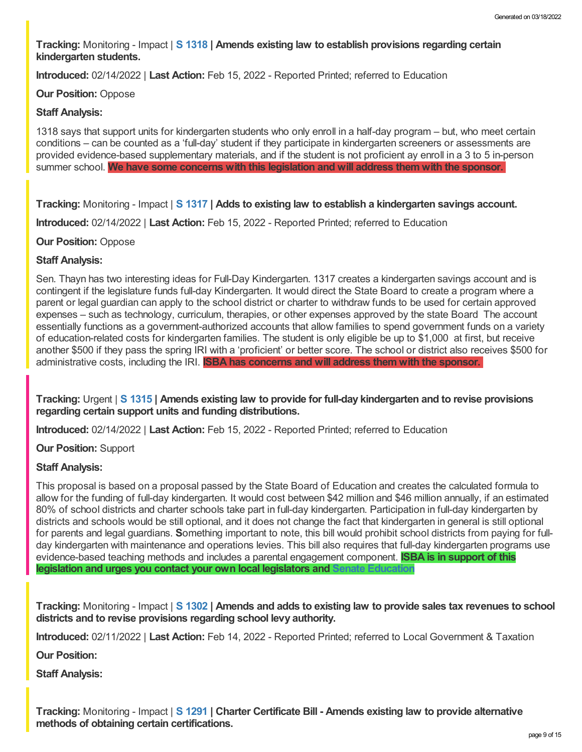**Tracking:** Monitoring - Impact | **S [1318](https://legislature.idaho.gov/sessioninfo/2022/legislation/S1318/) | Amends existing law to establish provisions regarding certain kindergarten students.**

**Introduced:** 02/14/2022 | **Last Action:** Feb 15, 2022 - Reported Printed; referred to Education

#### **Our Position:** Oppose

### **Staff Analysis:**

1318 says that support units for kindergarten students who only enroll in a half-day program – but, who meet certain conditions – can be counted as a 'full-day' student if they participate in kindergarten screeners or assessments are provided evidence-based supplementary materials, and if the student is not proficient ay enroll in a 3 to 5 in-person summer school. **We have some concerns with this legislation and will address them with the sponsor.**

**Tracking:** Monitoring - Impact | **S [1317](https://legislature.idaho.gov/sessioninfo/2022/legislation/S1317/) | Adds to existing law to establish a kindergarten savings account.**

**Introduced:** 02/14/2022 | **Last Action:** Feb 15, 2022 - Reported Printed; referred to Education

#### **Our Position:** Oppose

# **Staff Analysis:**

Sen. Thayn has two interesting ideas for Full-Day Kindergarten. 1317 creates a kindergarten savings account and is contingent if the legislature funds full-day Kindergarten. It would direct the State Board to create a program where a parent or legal guardian can apply to the school district or charter to withdraw funds to be used for certain approved expenses – such as technology, curriculum, therapies, or other expenses approved by the state Board The account essentially functions as a government-authorized accounts that allow families to spend government funds on a variety of education-related costs for kindergarten families. The student is only eligible be up to \$1,000 at first, but receive another \$500 if they pass the spring IRI with a 'proficient' or better score. The school or district also receives \$500 for administrative costs, including the IRI. **ISBA has concerns and will address them with the sponsor.**

**Tracking:** Urgent | **S [1315](https://legislature.idaho.gov/sessioninfo/2022/legislation/S1315/) | Amends existing law to provide for full-day kindergarten and to revise provisions regarding certain support units and funding distributions.**

**Introduced:** 02/14/2022 | **Last Action:** Feb 15, 2022 - Reported Printed; referred to Education

**Our Position:** Support

# **Staff Analysis:**

This proposal is based on a proposal passed by the State Board of Education and creates the calculated formula to allow for the funding of full-day kindergarten. It would cost between \$42 million and \$46 million annually, if an estimated 80% of school districts and charter schools take part in full-day kindergarten. Participation in full-day kindergarten by districts and schools would be still optional, and it does not change the fact that kindergarten in general is still optional for parents and legal guardians. **S**omething important to note, this bill would prohibit school districts from paying for fullday kindergarten with maintenance and operations levies. This bill also requires that full-day kindergarten programs use evidence-based teaching methods and includes a parental engagement component. **ISBA is in support of this legislation and urges you contact your own local legislators and Senate [Education](https://legislature.idaho.gov/sessioninfo/2022/standingcommittees/SEDU/)**

Tracking: Monitoring - Impact | S [1302](https://legislature.idaho.gov/sessioninfo/2022/legislation/S1302/) | Amends and adds to existing law to provide sales tax revenues to school **districts and to revise provisions regarding school levy authority.**

**Introduced:** 02/11/2022 | **Last Action:** Feb 14, 2022 - Reported Printed; referred to Local Government & Taxation

**Our Position:**

**Staff Analysis:**

**Tracking:** Monitoring - Impact | **S [1291](https://legislature.idaho.gov/sessioninfo/2022/legislation/S1291/) | Charter Certificate Bill - Amends existing law to provide alternative methods of obtaining certain certifications.**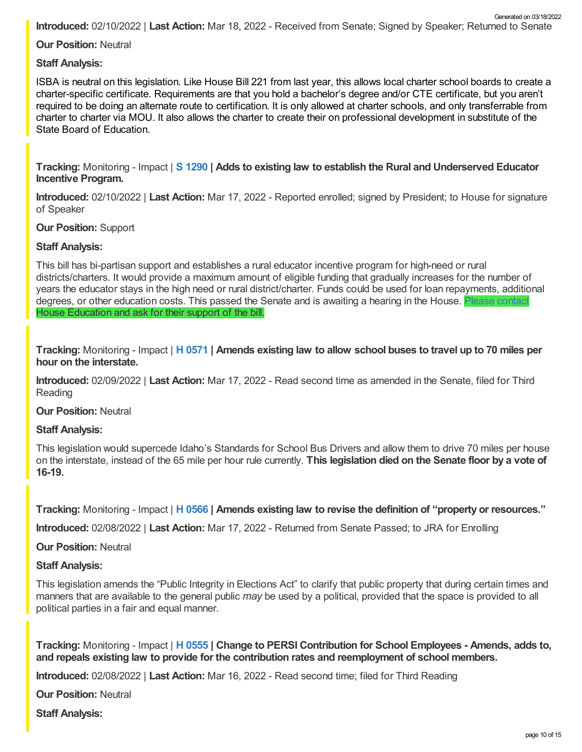**Introduced:** 02/10/2022 | **Last Action:** Mar 18, 2022 - Received from Senate; Signed by Speaker; Returned to Senate Generated on 03/18/2022

**Our Position:** Neutral

**Staff Analysis:**

ISBA is neutral on this legislation. Like House Bill 221 from last year, this allows local charter school boards to create a charter-specific certificate. Requirements are that you hold a bachelor's degree and/or CTE certificate, but you aren't required to be doing an alternate route to certification. It is only allowed at charter schools, and only transferrable from charter to charter via MOU. It also allows the charter to create their on professional development in substitute of the State Board of Education.

**Tracking:** Monitoring - Impact | **S [1290](https://legislature.idaho.gov/sessioninfo/2022/legislation/S1290/) | Adds to existing law to establish the Rural and Underserved Educator Incentive Program.**

**Introduced:** 02/10/2022 | **Last Action:** Mar 17, 2022 - Reported enrolled; signed by President; to House for signature of Speaker

**Our Position:** Support

# **Staff Analysis:**

This bill has bi-partisan support and establishes a rural educator incentive program for high-need or rural districts/charters. It would provide a maximum amount of eligible funding that gradually increases for the number of years the educator stays in the high need or rural district/charter. Funds could be used for loan repayments, additional degrees, or other education costs. This passed the Senate and is awaiting a hearing in the House. Please [contact](https://legislature.idaho.gov/sessioninfo/2022/standingcommittees/SEDU/)ion House Education and ask for their support of the bill.

Tracking: Monitoring - Impact | H [0571](https://legislature.idaho.gov/sessioninfo/2022/legislation/H0571/) | Amends existing law to allow school buses to travel up to 70 miles per **hour on the interstate.**

**Introduced:** 02/09/2022 | **Last Action:** Mar 17, 2022 - Read second time as amended in the Senate, filed for Third Reading

**Our Position:** Neutral

#### **Staff Analysis:**

This legislation would supercede Idaho's Standards for School Bus Drivers and allow them to drive 70 miles per house on the interstate, instead of the 65 mile per hour rule currently. **This legislation died on the Senate floor by a vote of 16-19.**

**Tracking:** Monitoring - Impact | **H [0566](https://legislature.idaho.gov/sessioninfo/2022/legislation/H0566/) | Amends existing law to revise the definition of "property or resources."**

**Introduced:** 02/08/2022 | **Last Action:** Mar 17, 2022 - Returned from Senate Passed; to JRA for Enrolling

**Our Position:** Neutral

#### **Staff Analysis:**

This legislation amends the "Public Integrity in Elections Act" to clarify that public property that during certain times and manners that are available to the general public *may* be used by a political, provided that the space is provided to all political parties in a fair and equal manner.

**Tracking:** Monitoring - Impact | **H [0555](https://legislature.idaho.gov/sessioninfo/2022/legislation/H0555/) | Change to PERSI Contribution for School Employees - Amends, adds to, and repeals existing law to provide for the contribution rates and reemployment of school members.**

**Introduced:** 02/08/2022 | **Last Action:** Mar 16, 2022 - Read second time; filed for Third Reading

**Our Position:** Neutral

**Staff Analysis:**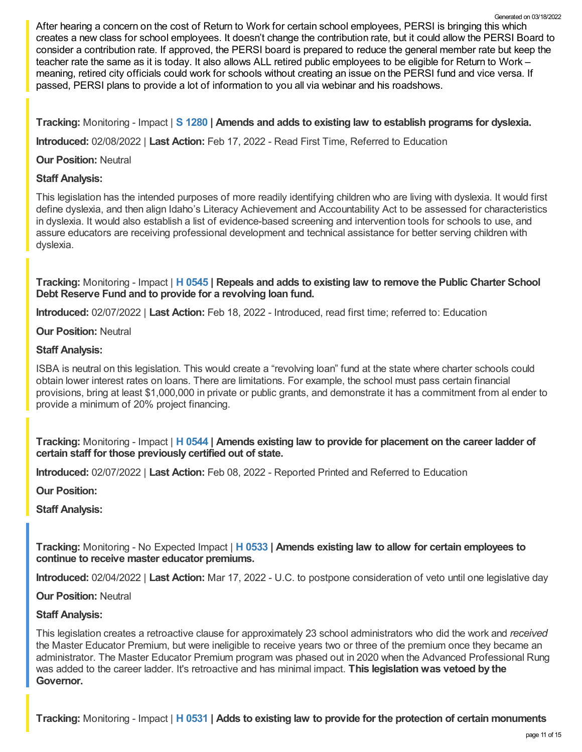After hearing a concern on the cost of Return to Work for certain school employees, PERSI is bringing this which creates a new class for school employees. It doesn't change the contribution rate, but it could allow the PERSI Board to consider a contribution rate. If approved, the PERSI board is prepared to reduce the general member rate but keep the teacher rate the same as it is today. It also allows ALL retired public employees to be eligible for Return to Work – meaning, retired city officials could work for schools without creating an issue on the PERSI fund and vice versa. If passed, PERSI plans to provide a lot of information to you all via webinar and his roadshows. Generated on 03/18/2022

**Tracking:** Monitoring - Impact | **S [1280](https://legislature.idaho.gov/sessioninfo/2022/legislation/S1280/) | Amends and adds to existing law to establish programs for dyslexia.**

**Introduced:** 02/08/2022 | **Last Action:** Feb 17, 2022 - Read First Time, Referred to Education

**Our Position:** Neutral

# **Staff Analysis:**

This legislation has the intended purposes of more readily identifying children who are living with dyslexia. It would first define dyslexia, and then align Idaho's Literacy Achievement and Accountability Act to be assessed for characteristics in dyslexia. It would also establish a list of evidence-based screening and intervention tools for schools to use, and assure educators are receiving professional development and technical assistance for better serving children with dyslexia.

**Tracking:** Monitoring - Impact | **H [0545](https://legislature.idaho.gov/sessioninfo/2022/legislation/H0545/) | Repeals and adds to existing law to remove the Public Charter School Debt Reserve Fund and to provide for a revolving loan fund.**

**Introduced:** 02/07/2022 | **Last Action:** Feb 18, 2022 - Introduced, read first time; referred to: Education

# **Our Position:** Neutral

# **Staff Analysis:**

ISBA is neutral on this legislation. This would create a "revolving loan" fund at the state where charter schools could obtain lower interest rates on loans. There are limitations. For example, the school must pass certain financial provisions, bring at least \$1,000,000 in private or public grants, and demonstrate it has a commitment from al ender to provide a minimum of 20% project financing.

**Tracking:** Monitoring - Impact | **H [0544](https://legislature.idaho.gov/sessioninfo/2022/legislation/H0544/) | Amends existing law to provide for placement on the career ladder of certain staff for those previously certified out of state.**

**Introduced:** 02/07/2022 | **Last Action:** Feb 08, 2022 - Reported Printed and Referred to Education

**Our Position:**

**Staff Analysis:**

**Tracking:** Monitoring - No Expected Impact | **H [0533](https://legislature.idaho.gov/sessioninfo/2022/legislation/H0533/) | Amends existing law to allow for certain employees to continue to receive master educator premiums.**

**Introduced:** 02/04/2022 | **Last Action:** Mar 17, 2022 - U.C. to postpone consideration of veto until one legislative day

**Our Position:** Neutral

#### **Staff Analysis:**

This legislation creates a retroactive clause for approximately 23 school administrators who did the work and *received* the Master Educator Premium, but were ineligible to receive years two or three of the premium once they became an administrator. The Master Educator Premium program was phased out in 2020 when the Advanced Professional Rung was added to the career ladder. It's retroactive and has minimal impact. **This legislation was vetoed by the Governor.**

**Tracking:** Monitoring - Impact | **H [0531](https://legislature.idaho.gov/sessioninfo/2022/legislation/H0531/) | Adds to existing law to provide for the protection of certain monuments**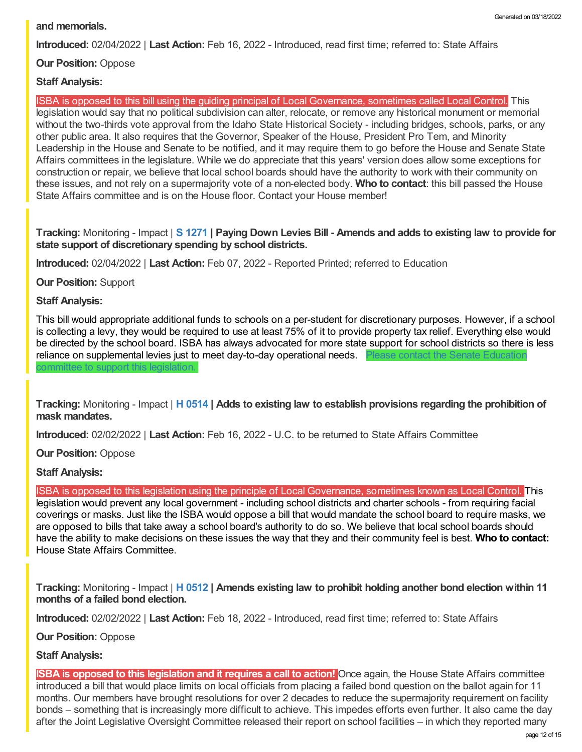# **and memorials.**

**Introduced:** 02/04/2022 | **Last Action:** Feb 16, 2022 - Introduced, read first time; referred to: State Affairs

**Our Position:** Oppose

# **Staff Analysis:**

ISBA is opposed to this bill using the guiding principal of Local Governance, sometimes called Local Control. This legislation would say that no political subdivision can alter, relocate, or remove any historical monument or memorial without the two-thirds vote approval from the Idaho State Historical Society - including bridges, schools, parks, or any other public area. It also requires that the Governor, Speaker of the House, President Pro Tem, and Minority Leadership in the House and Senate to be notified, and it may require them to go before the House and Senate State Affairs committees in the legislature. While we do appreciate that this years' version does allow some exceptions for construction or repair, we believe that local school boards should have the authority to work with their community on these issues, and not rely on a supermajority vote of a non-elected body. **Who to contact**: this bill passed the House State Affairs committee and is on the House floor. Contact your House member!

# Tracking: Monitoring - Impact | S [1271](https://legislature.idaho.gov/sessioninfo/2022/legislation/S1271/) | Paying Down Levies Bill - Amends and adds to existing law to provide for **state support of discretionary spending by school districts.**

**Introduced:** 02/04/2022 | **Last Action:** Feb 07, 2022 - Reported Printed; referred to Education

**Our Position:** Support

# **Staff Analysis:**

This bill would appropriate additional funds to schools on a per-student for discretionary purposes. However, if a school is collecting a levy, they would be required to use at least 75% of it to provide property tax relief. Everything else would be directed by the school board. ISBA has always advocated for more state support for school districts so there is less reliance on [supplemental](https://legislature.idaho.gov/sessioninfo/2022/standingcommittees/SEDU/) levies just to meet day-to-day operational needs. committee to support this legislation.

**Tracking:** Monitoring - Impact | **H [0514](https://legislature.idaho.gov/sessioninfo/2022/legislation/H0514/) | Adds to existing law to establish provisions regarding the prohibition of mask mandates.**

**Introduced:** 02/02/2022 | **Last Action:** Feb 16, 2022 - U.C. to be returned to State Affairs Committee

**Our Position:** Oppose

**Staff Analysis:**

ISBA is opposed to this legislation using the principle of Local Governance, sometimes known as Local Control. This legislation would prevent any local government - including school districts and charter schools - from requiring facial coverings or masks. Just like the ISBA would oppose a bill that would mandate the school board to require masks, we are opposed to bills that take away a school board's authority to do so. We believe that local school boards should have the ability to make decisions on these issues the way that they and their community feel is best. **Who to contact:** House State Affairs [Committee.](https://legislature.idaho.gov/sessioninfo/2022/standingcommittees/HSTA/)

**Tracking:** Monitoring - Impact | **H [0512](https://legislature.idaho.gov/sessioninfo/2022/legislation/H0512/) | Amends existing law to prohibit holding another bond election within 11 months of a failed bond election.**

**Introduced:** 02/02/2022 | **Last Action:** Feb 18, 2022 - Introduced, read first time; referred to: State Affairs

**Our Position:** Oppose

#### **Staff Analysis:**

**ISBA is opposed to this legislation and it requires a call to action!** Once again, the House State Affairs committee introduced a bill that would place limits on local officials from placing a failed bond question on the ballot again for 11 months. Our members have brought resolutions for over 2 decades to reduce the supermajority requirement on facility bonds – something that is increasingly more difficult to achieve. This impedes efforts even further. It also came the day after the Joint Legislative Oversight Committee released their report on school facilities – in which they reported many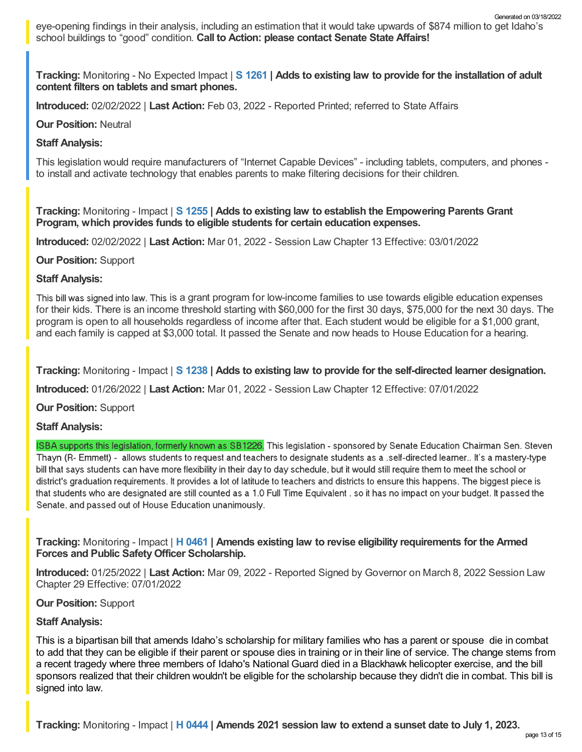**Tracking:** Monitoring - No Expected Impact | **S [1261](https://legislature.idaho.gov/sessioninfo/2022/legislation/S1261/) | Adds to existing law to provide for the installation of adult content filters on tablets and smart phones.**

**Introduced:** 02/02/2022 | **Last Action:** Feb 03, 2022 - Reported Printed; referred to State Affairs

# **Our Position:** Neutral

# **Staff Analysis:**

This legislation would require manufacturers of "Internet Capable Devices" - including tablets, computers, and phones to install and activate technology that enables parents to make filtering decisions for their children.

**Tracking:** Monitoring - Impact | **S [1255](https://legislature.idaho.gov/sessioninfo/2022/legislation/S1255/) | Adds to existing law to establish the Empowering Parents Grant Program, which provides funds to eligible students for certain education expenses.**

**Introduced:** 02/02/2022 | **Last Action:** Mar 01, 2022 - Session Law Chapter 13 Effective: 03/01/2022

# **Our Position:** Support

# **Staff Analysis:**

This bill was signed into law. This is a grant program for low-income families to use towards eligible education expenses for their kids. There is an income threshold starting with \$60,000 for the first 30 days, \$75,000 for the next 30 days. The program is open to all households regardless of income after that. Each student would be eligible for a \$1,000 grant, and each family is capped at \$3,000 total. It passed the Senate and now heads to House Education for a hearing.

**Tracking:** Monitoring - Impact | **S [1238](https://legislature.idaho.gov/sessioninfo/2022/legislation/S1238/) | Adds to existing law to provide for the self-directed learner designation.**

**Introduced:** 01/26/2022 | **Last Action:** Mar 01, 2022 - Session Law Chapter 12 Effective: 07/01/2022

**Our Position:** Support

# **Staff Analysis:**

ISBA supports this legislation, formerly known as SB1226. This legislation - sponsored by Senate Education Chairman Sen. Steven Thayn (R- Emmett) - allows students to request and teachers to designate students as a .self-directed learner.. It's a mastery-type bill that says students can have more flexibility in their day to day schedule, but it would still require them to meet the school or district's graduation requirements. It provides a lot of latitude to teachers and districts to ensure this happens. The biggest piece is that students who are designated are still counted as a 1.0 Full Time Equivalent , so it has no impact on your budget. It passed the Senate, and passed out of House Education unanimously.

**Tracking:** Monitoring - Impact | **H [0461](https://legislature.idaho.gov/sessioninfo/2022/legislation/H0461/) | Amends existing law to revise eligibility requirements for the Armed Forces and Public SafetyOfficer Scholarship.**

**Introduced:** 01/25/2022 | **Last Action:** Mar 09, 2022 - Reported Signed by Governor on March 8, 2022 Session Law Chapter 29 Effective: 07/01/2022

#### **Our Position:** Support

# **Staff Analysis:**

This is a bipartisan bill that amends Idaho's scholarship for military families who has a parent or spouse die in combat to add that they can be eligible if their parent or spouse dies in training or in their line of service. The change stems from a recent tragedy where three members of Idaho's National Guard died in a Blackhawk helicopter exercise, and the bill sponsors realized that their children wouldn't be eligible for the scholarship because they didn't die in combat. This bill is signed into law.

**Tracking:** Monitoring - Impact | **H [0444](https://legislature.idaho.gov/sessioninfo/2022/legislation/H0444/) | Amends 2021 session law to extend a sunset date to July 1, 2023.**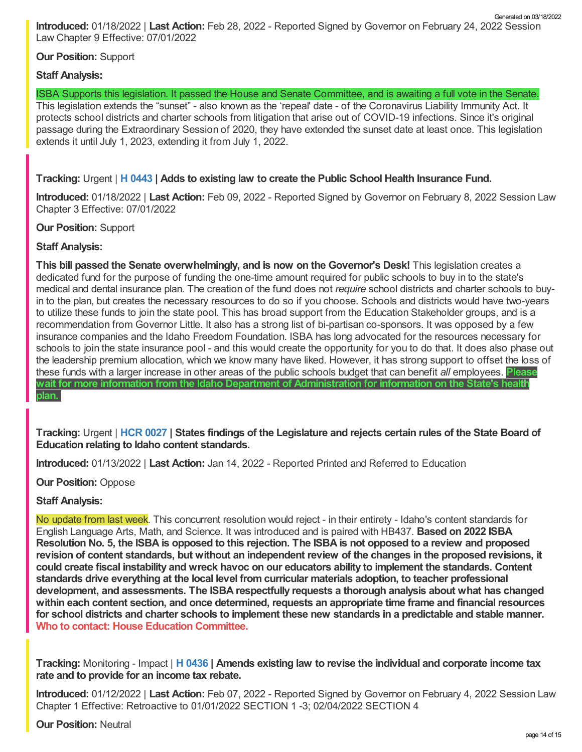**Introduced:** 01/18/2022 | **Last Action:** Feb 28, 2022 - Reported Signed by Governor on February 24, 2022 Session Law Chapter 9 Effective: 07/01/2022 Generated on 03/18/2022

# **Our Position:** Support

# **Staff Analysis:**

ISBA Supports this legislation. It passed the House and Senate Committee, and is awaiting a full vote in the Senate.

This legislation extends the "sunset" - also known as the 'repeal' date - of the Coronavirus Liability Immunity Act. It protects school districts and charter schools from litigation that arise out of COVID-19 infections. Since it's original passage during the Extraordinary Session of 2020, they have extended the sunset date at least once. This legislation extends it until July 1, 2023, extending it from July 1, 2022.

**Tracking:** Urgent | **H [0443](https://legislature.idaho.gov/sessioninfo/2022/legislation/H0443/) | Adds to existing law to create the Public School Health Insurance Fund.**

**Introduced:** 01/18/2022 | **Last Action:** Feb 09, 2022 - Reported Signed by Governor on February 8, 2022 Session Law Chapter 3 Effective: 07/01/2022

**Our Position:** Support

# **Staff Analysis:**

**This bill passed the Senate overwhelmingly, and is now on the Governor's Desk!** This legislation creates a dedicated fund for the purpose of funding the one-time amount required for public schools to buy in to the state's medical and dental insurance plan. The creation of the fund does not *require* school districts and charter schools to buyin to the plan, but creates the necessary resources to do so if you choose. Schools and districts would have two-years to utilize these funds to join the state pool. This has broad support from the Education Stakeholder groups, and is a recommendation from Governor Little. It also has a strong list of bi-partisan co-sponsors. It was opposed by a few insurance companies and the Idaho Freedom Foundation. ISBA has long advocated for the resources necessary for schools to join the state insurance pool - and this would create the opportunity for you to do that. It does also phase out the leadership premium allocation, which we know many have liked. However, it has strong support to offset the loss of these funds with a larger increase in other areas of the public schools budget that can benefit *all* employees. **Please wait for more information from the Idaho Department of Administration for information on the State's health plan.**

Tracking: Urgent | HCR [0027](https://legislature.idaho.gov/sessioninfo/2022/legislation/HCR027/) | States findings of the Legislature and rejects certain rules of the State Board of **Education relating to Idaho content standards.**

**Introduced:** 01/13/2022 | **Last Action:** Jan 14, 2022 - Reported Printed and Referred to Education

**Our Position:** Oppose

**Staff Analysis:**

No update from last week. This concurrent resolution would reject - in their entirety - Idaho's content standards for English Language Arts, Math, and Science. It was introduced and is paired with HB437. **Based on 2022 ISBA** Resolution No. 5, the ISBA is opposed to this rejection. The ISBA is not opposed to a review and proposed revision of content standards, but without an independent review of the changes in the proposed revisions, it **could create fiscal instability and wreck havoc on our educators ability to implement the standards. Content standards drive everything at the local level from curricular materials adoption, to teacher professional development, and assessments. The ISBA respectfully requests a thorough analysis about what has changed within each content section, and once determined, requests an appropriate time frame and financial resources** for school districts and charter schools to implement these new standards in a predictable and stable manner.<br>Who to contact: House Education [Committee](https://legislature.idaho.gov/sessioninfo/2022/standingcommittees/HEDU/).

**Tracking:** Monitoring - Impact | **H [0436](https://legislature.idaho.gov/sessioninfo/2022/legislation/H0436/) | Amends existing law to revise the individual and corporate income tax rate and to provide for an income tax rebate.**

**Introduced:** 01/12/2022 | **Last Action:** Feb 07, 2022 - Reported Signed by Governor on February 4, 2022 Session Law Chapter 1 Effective: Retroactive to 01/01/2022 SECTION 1 -3; 02/04/2022 SECTION 4